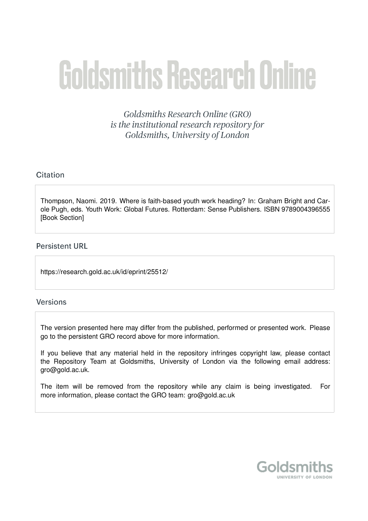# **Goldsmiths Research Online**

Goldsmiths Research Online (GRO) is the institutional research repository for Goldsmiths, University of London

# Citation

Thompson, Naomi. 2019. Where is faith-based youth work heading? In: Graham Bright and Carole Pugh, eds. Youth Work: Global Futures. Rotterdam: Sense Publishers. ISBN 9789004396555 [Book Section]

# **Persistent URL**

https://research.gold.ac.uk/id/eprint/25512/

# **Versions**

The version presented here may differ from the published, performed or presented work. Please go to the persistent GRO record above for more information.

If you believe that any material held in the repository infringes copyright law, please contact the Repository Team at Goldsmiths, University of London via the following email address: gro@gold.ac.uk.

The item will be removed from the repository while any claim is being investigated. For more information, please contact the GRO team: gro@gold.ac.uk

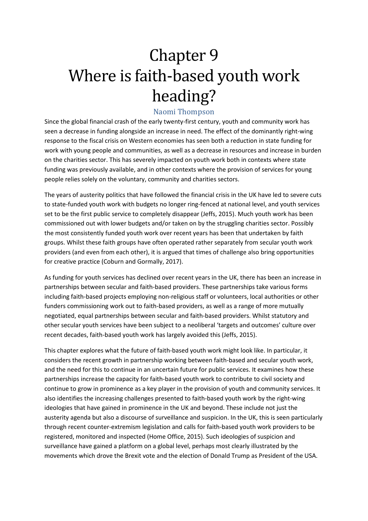# Chapter 9 Where is faith-based youth work heading?

# Naomi Thompson

Since the global financial crash of the early twenty-first century, youth and community work has seen a decrease in funding alongside an increase in need. The effect of the dominantly right-wing response to the fiscal crisis on Western economies has seen both a reduction in state funding for work with young people and communities, as well as a decrease in resources and increase in burden on the charities sector. This has severely impacted on youth work both in contexts where state funding was previously available, and in other contexts where the provision of services for young people relies solely on the voluntary, community and charities sectors.

The years of austerity politics that have followed the financial crisis in the UK have led to severe cuts to state-funded youth work with budgets no longer ring-fenced at national level, and youth services set to be the first public service to completely disappear (Jeffs, 2015). Much youth work has been commissioned out with lower budgets and/or taken on by the struggling charities sector. Possibly the most consistently funded youth work over recent years has been that undertaken by faith groups. Whilst these faith groups have often operated rather separately from secular youth work providers (and even from each other), it is argued that times of challenge also bring opportunities for creative practice (Coburn and Gormally, 2017).

As funding for youth services has declined over recent years in the UK, there has been an increase in partnerships between secular and faith-based providers. These partnerships take various forms including faith-based projects employing non-religious staff or volunteers, local authorities or other funders commissioning work out to faith-based providers, as well as a range of more mutually negotiated, equal partnerships between secular and faith-based providers. Whilst statutory and other secular youth services have been subject to a neoliberal 'targets and outcomes' culture over recent decades, faith-based youth work has largely avoided this (Jeffs, 2015).

This chapter explores what the future of faith-based youth work might look like. In particular, it considers the recent growth in partnership working between faith-based and secular youth work, and the need for this to continue in an uncertain future for public services. It examines how these partnerships increase the capacity for faith-based youth work to contribute to civil society and continue to grow in prominence as a key player in the provision of youth and community services. It also identifies the increasing challenges presented to faith-based youth work by the right-wing ideologies that have gained in prominence in the UK and beyond. These include not just the austerity agenda but also a discourse of surveillance and suspicion. In the UK, this is seen particularly through recent counter-extremism legislation and calls for faith-based youth work providers to be registered, monitored and inspected (Home Office, 2015). Such ideologies of suspicion and surveillance have gained a platform on a global level, perhaps most clearly illustrated by the movements which drove the Brexit vote and the election of Donald Trump as President of the USA.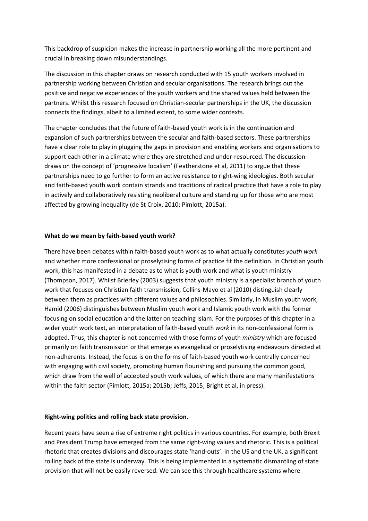This backdrop of suspicion makes the increase in partnership working all the more pertinent and crucial in breaking down misunderstandings.

The discussion in this chapter draws on research conducted with 15 youth workers involved in partnership working between Christian and secular organisations. The research brings out the positive and negative experiences of the youth workers and the shared values held between the partners. Whilst this research focused on Christian-secular partnerships in the UK, the discussion connects the findings, albeit to a limited extent, to some wider contexts.

The chapter concludes that the future of faith-based youth work is in the continuation and expansion of such partnerships between the secular and faith-based sectors. These partnerships have a clear role to play in plugging the gaps in provision and enabling workers and organisations to support each other in a climate where they are stretched and under-resourced. The discussion draws on the concept of 'progressive localism' (Featherstone et al, 2011) to argue that these partnerships need to go further to form an active resistance to right-wing ideologies. Both secular and faith-based youth work contain strands and traditions of radical practice that have a role to play in actively and collaboratively resisting neoliberal culture and standing up for those who are most affected by growing inequality (de St Croix, 2010; Pimlott, 2015a).

#### **What do we mean by faith-based youth work?**

There have been debates within faith-based youth work as to what actually constitutes *youth work* and whether more confessional or proselytising forms of practice fit the definition. In Christian youth work, this has manifested in a debate as to what is youth work and what is youth ministry (Thompson, 2017). Whilst Brierley (2003) suggests that youth ministry is a specialist branch of youth work that focuses on Christian faith transmission, Collins-Mayo et al (2010) distinguish clearly between them as practices with different values and philosophies. Similarly, in Muslim youth work, Hamid (2006) distinguishes between Muslim youth work and Islamic youth work with the former focusing on social education and the latter on teaching Islam. For the purposes of this chapter in a wider youth work text, an interpretation of faith-based youth *work* in its non-confessional form is adopted. Thus, this chapter is not concerned with those forms of youth *ministry* which are focused primarily on faith transmission or that emerge as evangelical or proselytising endeavours directed at non-adherents. Instead, the focus is on the forms of faith-based youth work centrally concerned with engaging with civil society, promoting human flourishing and pursuing the common good, which draw from the well of accepted youth work values, of which there are many manifestations within the faith sector (Pimlott, 2015a; 2015b; Jeffs, 2015; Bright et al, in press).

#### **Right-wing politics and rolling back state provision.**

Recent years have seen a rise of extreme right politics in various countries. For example, both Brexit and President Trump have emerged from the same right-wing values and rhetoric. This is a political rhetoric that creates divisions and discourages state 'hand-outs'. In the US and the UK, a significant rolling back of the state is underway. This is being implemented in a systematic dismantling of state provision that will not be easily reversed. We can see this through healthcare systems where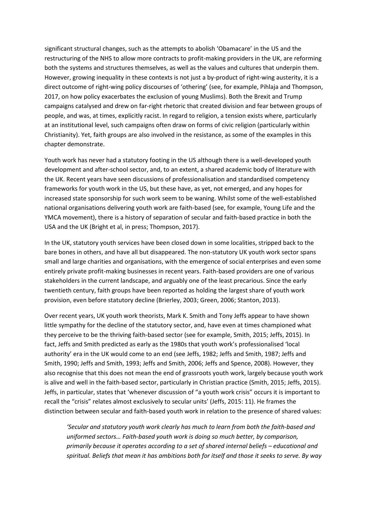significant structural changes, such as the attempts to abolish 'Obamacare' in the US and the restructuring of the NHS to allow more contracts to profit-making providers in the UK, are reforming both the systems and structures themselves, as well as the values and cultures that underpin them. However, growing inequality in these contexts is not just a by-product of right-wing austerity, it is a direct outcome of right-wing policy discourses of 'othering' (see, for example, Pihlaja and Thompson, 2017, on how policy exacerbates the exclusion of young Muslims). Both the Brexit and Trump campaigns catalysed and drew on far-right rhetoric that created division and fear between groups of people, and was, at times, explicitly racist. In regard to religion, a tension exists where, particularly at an institutional level, such campaigns often draw on forms of civic religion (particularly within Christianity). Yet, faith groups are also involved in the resistance, as some of the examples in this chapter demonstrate.

Youth work has never had a statutory footing in the US although there is a well-developed youth development and after-school sector, and, to an extent, a shared academic body of literature with the UK. Recent years have seen discussions of professionalisation and standardised competency frameworks for youth work in the US, but these have, as yet, not emerged, and any hopes for increased state sponsorship for such work seem to be waning. Whilst some of the well-established national organisations delivering youth work are faith-based (see, for example, Young Life and the YMCA movement), there is a history of separation of secular and faith-based practice in both the USA and the UK (Bright et al, in press; Thompson, 2017).

In the UK, statutory youth services have been closed down in some localities, stripped back to the bare bones in others, and have all but disappeared. The non-statutory UK youth work sector spans small and large charities and organisations, with the emergence of social enterprises and even some entirely private profit-making businesses in recent years. Faith-based providers are one of various stakeholders in the current landscape, and arguably one of the least precarious. Since the early twentieth century, faith groups have been reported as holding the largest share of youth work provision, even before statutory decline (Brierley, 2003; Green, 2006; Stanton, 2013).

Over recent years, UK youth work theorists, Mark K. Smith and Tony Jeffs appear to have shown little sympathy for the decline of the statutory sector, and, have even at times championed what they perceive to be the thriving faith-based sector (see for example, Smith, 2015; Jeffs, 2015). In fact, Jeffs and Smith predicted as early as the 1980s that youth work's professionalised 'local authority' era in the UK would come to an end (see Jeffs, 1982; Jeffs and Smith, 1987; Jeffs and Smith, 1990; Jeffs and Smith, 1993; Jeffs and Smith, 2006; Jeffs and Spence, 2008). However, they also recognise that this does not mean the end of grassroots youth work, largely because youth work is alive and well in the faith-based sector, particularly in Christian practice (Smith, 2015; Jeffs, 2015). Jeffs, in particular, states that 'whenever discussion of "a youth work crisis" occurs it is important to recall the "crisis" relates almost exclusively to secular units' (Jeffs, 2015: 11). He frames the distinction between secular and faith-based youth work in relation to the presence of shared values:

*'Secular and statutory youth work clearly has much to learn from both the faith-based and uniformed sectors… Faith-based youth work is doing so much better, by comparison, primarily because it operates according to a set of shared internal beliefs – educational and spiritual. Beliefs that mean it has ambitions both for itself and those it seeks to serve. By way*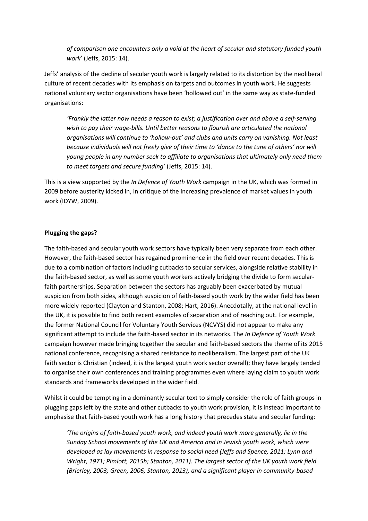*of comparison one encounters only a void at the heart of secular and statutory funded youth work*' (Jeffs, 2015: 14).

Jeffs' analysis of the decline of secular youth work is largely related to its distortion by the neoliberal culture of recent decades with its emphasis on targets and outcomes in youth work. He suggests national voluntary sector organisations have been 'hollowed out' in the same way as state-funded organisations:

*'Frankly the latter now needs a reason to exist; a justification over and above a self-serving wish to pay their wage-bills. Until better reasons to flourish are articulated the national organisations will continue to 'hollow-out' and clubs and units carry on vanishing. Not least because individuals will not freely give of their time to 'dance to the tune of others' nor will young people in any number seek to affiliate to organisations that ultimately only need them to meet targets and secure funding'* (Jeffs, 2015: 14).

This is a view supported by the *In Defence of Youth Work* campaign in the UK, which was formed in 2009 before austerity kicked in, in critique of the increasing prevalence of market values in youth work (IDYW, 2009).

#### **Plugging the gaps?**

The faith-based and secular youth work sectors have typically been very separate from each other. However, the faith-based sector has regained prominence in the field over recent decades. This is due to a combination of factors including cutbacks to secular services, alongside relative stability in the faith-based sector, as well as some youth workers actively bridging the divide to form secularfaith partnerships. Separation between the sectors has arguably been exacerbated by mutual suspicion from both sides, although suspicion of faith-based youth work by the wider field has been more widely reported (Clayton and Stanton, 2008; Hart, 2016). Anecdotally, at the national level in the UK, it is possible to find both recent examples of separation and of reaching out. For example, the former National Council for Voluntary Youth Services (NCVYS) did not appear to make any significant attempt to include the faith-based sector in its networks. The *In Defence of Youth Work* campaign however made bringing together the secular and faith-based sectors the theme of its 2015 national conference, recognising a shared resistance to neoliberalism. The largest part of the UK faith sector is Christian (indeed, it is the largest youth work sector overall); they have largely tended to organise their own conferences and training programmes even where laying claim to youth work standards and frameworks developed in the wider field.

Whilst it could be tempting in a dominantly secular text to simply consider the role of faith groups in plugging gaps left by the state and other cutbacks to youth work provision, it is instead important to emphasise that faith-based youth work has a long history that precedes state and secular funding:

*'The origins of faith-based youth work, and indeed youth work more generally, lie in the Sunday School movements of the UK and America and in Jewish youth work, which were developed as lay movements in response to social need (Jeffs and Spence, 2011; Lynn and Wright, 1971; Pimlott, 2015b; Stanton, 2011). The largest sector of the UK youth work field (Brierley, 2003; Green, 2006; Stanton, 2013), and a significant player in community-based*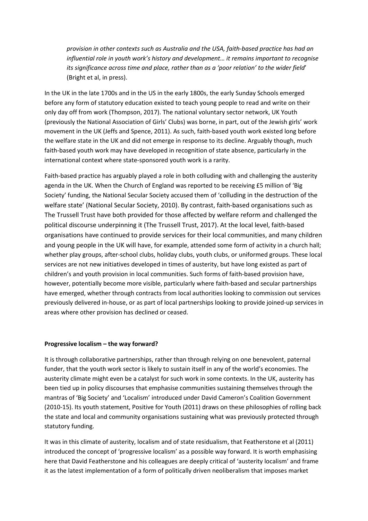*provision in other contexts such as Australia and the USA, faith-based practice has had an influential role in youth work's history and development… it remains important to recognise its significance across time and place, rather than as a 'poor relation' to the wider field*' (Bright et al, in press).

In the UK in the late 1700s and in the US in the early 1800s, the early Sunday Schools emerged before any form of statutory education existed to teach young people to read and write on their only day off from work (Thompson, 2017). The national voluntary sector network, UK Youth (previously the National Association of Girls' Clubs) was borne, in part, out of the Jewish girls' work movement in the UK (Jeffs and Spence, 2011). As such, faith-based youth work existed long before the welfare state in the UK and did not emerge in response to its decline. Arguably though, much faith-based youth work may have developed in recognition of state absence, particularly in the international context where state-sponsored youth work is a rarity.

Faith-based practice has arguably played a role in both colluding with and challenging the austerity agenda in the UK. When the Church of England was reported to be receiving £5 million of 'Big Society' funding, the National Secular Society accused them of 'colluding in the destruction of the welfare state' (National Secular Society, 2010). By contrast, faith-based organisations such as The Trussell Trust have both provided for those affected by welfare reform and challenged the political discourse underpinning it (The Trussell Trust, 2017). At the local level, faith-based organisations have continued to provide services for their local communities, and many children and young people in the UK will have, for example, attended some form of activity in a church hall; whether play groups, after-school clubs, holiday clubs, youth clubs, or uniformed groups. These local services are not new initiatives developed in times of austerity, but have long existed as part of children's and youth provision in local communities. Such forms of faith-based provision have, however, potentially become more visible, particularly where faith-based and secular partnerships have emerged, whether through contracts from local authorities looking to commission out services previously delivered in-house, or as part of local partnerships looking to provide joined-up services in areas where other provision has declined or ceased.

#### **Progressive localism – the way forward?**

It is through collaborative partnerships, rather than through relying on one benevolent, paternal funder, that the youth work sector is likely to sustain itself in any of the world's economies. The austerity climate might even be a catalyst for such work in some contexts. In the UK, austerity has been tied up in policy discourses that emphasise communities sustaining themselves through the mantras of 'Big Society' and 'Localism' introduced under David Cameron's Coalition Government (2010-15). Its youth statement, Positive for Youth (2011) draws on these philosophies of rolling back the state and local and community organisations sustaining what was previously protected through statutory funding.

It was in this climate of austerity, localism and of state residualism, that Featherstone et al (2011) introduced the concept of 'progressive localism' as a possible way forward. It is worth emphasising here that David Featherstone and his colleagues are deeply critical of 'austerity localism' and frame it as the latest implementation of a form of politically driven neoliberalism that imposes market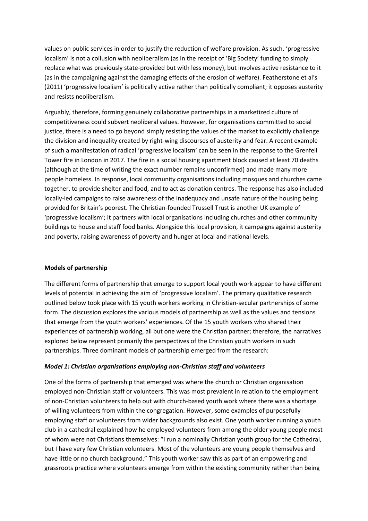values on public services in order to justify the reduction of welfare provision. As such, 'progressive localism' is not a collusion with neoliberalism (as in the receipt of 'Big Society' funding to simply replace what was previously state-provided but with less money), but involves active resistance to it (as in the campaigning against the damaging effects of the erosion of welfare). Featherstone et al's (2011) 'progressive localism' is politically active rather than politically compliant; it opposes austerity and resists neoliberalism.

Arguably, therefore, forming genuinely collaborative partnerships in a marketized culture of competitiveness could subvert neoliberal values. However, for organisations committed to social justice, there is a need to go beyond simply resisting the values of the market to explicitly challenge the division and inequality created by right-wing discourses of austerity and fear. A recent example of such a manifestation of radical 'progressive localism' can be seen in the response to the Grenfell Tower fire in London in 2017. The fire in a social housing apartment block caused at least 70 deaths (although at the time of writing the exact number remains unconfirmed) and made many more people homeless. In response, local community organisations including mosques and churches came together, to provide shelter and food, and to act as donation centres. The response has also included locally-led campaigns to raise awareness of the inadequacy and unsafe nature of the housing being provided for Britain's poorest. The Christian-founded Trussell Trust is another UK example of 'progressive localism'; it partners with local organisations including churches and other community buildings to house and staff food banks. Alongside this local provision, it campaigns against austerity and poverty, raising awareness of poverty and hunger at local and national levels.

#### **Models of partnership**

The different forms of partnership that emerge to support local youth work appear to have different levels of potential in achieving the aim of 'progressive localism'. The primary qualitative research outlined below took place with 15 youth workers working in Christian-secular partnerships of some form. The discussion explores the various models of partnership as well as the values and tensions that emerge from the youth workers' experiences. Of the 15 youth workers who shared their experiences of partnership working, all but one were the Christian partner; therefore, the narratives explored below represent primarily the perspectives of the Christian youth workers in such partnerships. Three dominant models of partnership emerged from the research:

#### *Model 1: Christian organisations employing non-Christian staff and volunteers*

One of the forms of partnership that emerged was where the church or Christian organisation employed non-Christian staff or volunteers. This was most prevalent in relation to the employment of non-Christian volunteers to help out with church-based youth work where there was a shortage of willing volunteers from within the congregation. However, some examples of purposefully employing staff or volunteers from wider backgrounds also exist. One youth worker running a youth club in a cathedral explained how he employed volunteers from among the older young people most of whom were not Christians themselves: "I run a nominally Christian youth group for the Cathedral, but I have very few Christian volunteers. Most of the volunteers are young people themselves and have little or no church background." This youth worker saw this as part of an empowering and grassroots practice where volunteers emerge from within the existing community rather than being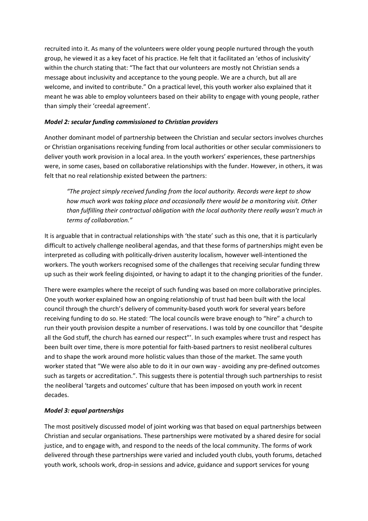recruited into it. As many of the volunteers were older young people nurtured through the youth group, he viewed it as a key facet of his practice. He felt that it facilitated an 'ethos of inclusivity' within the church stating that: "The fact that our volunteers are mostly not Christian sends a message about inclusivity and acceptance to the young people. We are a church, but all are welcome, and invited to contribute." On a practical level, this youth worker also explained that it meant he was able to employ volunteers based on their ability to engage with young people, rather than simply their 'creedal agreement'.

## *Model 2: secular funding commissioned to Christian providers*

Another dominant model of partnership between the Christian and secular sectors involves churches or Christian organisations receiving funding from local authorities or other secular commissioners to deliver youth work provision in a local area. In the youth workers' experiences, these partnerships were, in some cases, based on collaborative relationships with the funder. However, in others, it was felt that no real relationship existed between the partners:

*"The project simply received funding from the local authority. Records were kept to show how much work was taking place and occasionally there would be a monitoring visit. Other than fulfilling their contractual obligation with the local authority there really wasn't much in terms of collaboration."*

It is arguable that in contractual relationships with 'the state' such as this one, that it is particularly difficult to actively challenge neoliberal agendas, and that these forms of partnerships might even be interpreted as colluding with politically-driven austerity localism, however well-intentioned the workers. The youth workers recognised some of the challenges that receiving secular funding threw up such as their work feeling disjointed, or having to adapt it to the changing priorities of the funder.

There were examples where the receipt of such funding was based on more collaborative principles. One youth worker explained how an ongoing relationship of trust had been built with the local council through the church's delivery of community-based youth work for several years before receiving funding to do so. He stated: 'The local councils were brave enough to "hire" a church to run their youth provision despite a number of reservations. I was told by one councillor that "despite all the God stuff, the church has earned our respect"'. In such examples where trust and respect has been built over time, there is more potential for faith-based partners to resist neoliberal cultures and to shape the work around more holistic values than those of the market. The same youth worker stated that "We were also able to do it in our own way - avoiding any pre-defined outcomes such as targets or accreditation.". This suggests there is potential through such partnerships to resist the neoliberal 'targets and outcomes' culture that has been imposed on youth work in recent decades.

# *Model 3: equal partnerships*

The most positively discussed model of joint working was that based on equal partnerships between Christian and secular organisations. These partnerships were motivated by a shared desire for social justice, and to engage with, and respond to the needs of the local community. The forms of work delivered through these partnerships were varied and included youth clubs, youth forums, detached youth work, schools work, drop-in sessions and advice, guidance and support services for young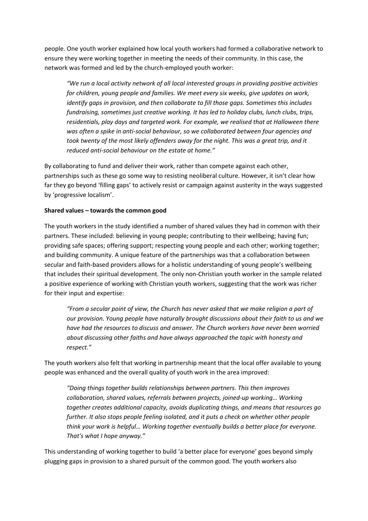people. One youth worker explained how local youth workers had formed a collaborative network to ensure they were working together in meeting the needs of their community. In this case, the network was formed and led by the church-employed youth worker:

*"We run a local activity network of all local interested groups in providing positive activities for children, young people and families. We meet every six weeks, give updates on work, identify gaps in provision, and then collaborate to fill those gaps. Sometimes this includes fundraising, sometimes just creative working. It has led to holiday clubs, lunch clubs, trips, residentials, play days and targeted work. For example, we realised that at Halloween there was often a spike in anti-social behaviour, so we collaborated between four agencies and took twenty of the most likely offenders away for the night. This was a great trip, and it reduced anti-social behaviour on the estate at home."*

By collaborating to fund and deliver their work, rather than compete against each other, partnerships such as these go some way to resisting neoliberal culture. However, it isn't clear how far they go beyond 'filling gaps' to actively resist or campaign against austerity in the ways suggested by 'progressive localism'.

#### **Shared values – towards the common good**

The youth workers in the study identified a number of shared values they had in common with their partners. These included: believing in young people; contributing to their wellbeing; having fun; providing safe spaces; offering support; respecting young people and each other; working together; and building community. A unique feature of the partnerships was that a collaboration between secular and faith-based providers allows for a holistic understanding of young people's wellbeing that includes their spiritual development. The only non-Christian youth worker in the sample related a positive experience of working with Christian youth workers, suggesting that the work was richer for their input and expertise:

*"From a secular point of view, the Church has never asked that we make religion a part of our provision. Young people have naturally brought discussions about their faith to us and we have had the resources to discuss and answer. The Church workers have never been worried about discussing other faiths and have always approached the topic with honesty and respect."*

The youth workers also felt that working in partnership meant that the local offer available to young people was enhanced and the overall quality of youth work in the area improved:

*"Doing things together builds relationships between partners. This then improves collaboration, shared values, referrals between projects, joined-up working… Working together creates additional capacity, avoids duplicating things, and means that resources go further. It also stops people feeling isolated, and it puts a check on whether other people think your work is helpful… Working together eventually builds a better place for everyone. That's what I hope anyway."*

This understanding of working together to build 'a better place for everyone' goes beyond simply plugging gaps in provision to a shared pursuit of the common good. The youth workers also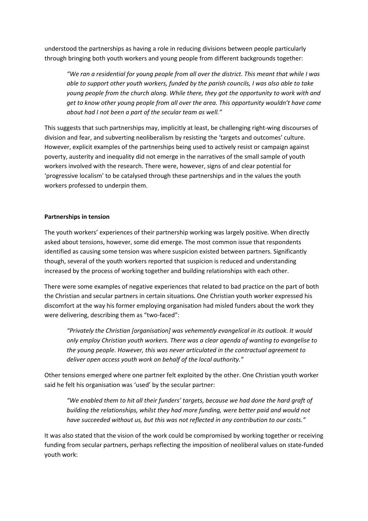understood the partnerships as having a role in reducing divisions between people particularly through bringing both youth workers and young people from different backgrounds together:

*"We ran a residential for young people from all over the district. This meant that while I was able to support other youth workers, funded by the parish councils, I was also able to take young people from the church along. While there, they got the opportunity to work with and get to know other young people from all over the area. This opportunity wouldn't have come about had I not been a part of the secular team as well."*

This suggests that such partnerships may, implicitly at least, be challenging right-wing discourses of division and fear, and subverting neoliberalism by resisting the 'targets and outcomes' culture. However, explicit examples of the partnerships being used to actively resist or campaign against poverty, austerity and inequality did not emerge in the narratives of the small sample of youth workers involved with the research. There were, however, signs of and clear potential for 'progressive localism' to be catalysed through these partnerships and in the values the youth workers professed to underpin them.

#### **Partnerships in tension**

The youth workers' experiences of their partnership working was largely positive. When directly asked about tensions, however, some did emerge. The most common issue that respondents identified as causing some tension was where suspicion existed between partners. Significantly though, several of the youth workers reported that suspicion is reduced and understanding increased by the process of working together and building relationships with each other.

There were some examples of negative experiences that related to bad practice on the part of both the Christian and secular partners in certain situations. One Christian youth worker expressed his discomfort at the way his former employing organisation had misled funders about the work they were delivering, describing them as "two-faced":

*"Privately the Christian [organisation] was vehemently evangelical in its outlook. It would only employ Christian youth workers. There was a clear agenda of wanting to evangelise to the young people. However, this was never articulated in the contractual agreement to deliver open access youth work on behalf of the local authority."*

Other tensions emerged where one partner felt exploited by the other. One Christian youth worker said he felt his organisation was 'used' by the secular partner:

*"We enabled them to hit all their funders' targets, because we had done the hard graft of building the relationships, whilst they had more funding, were better paid and would not have succeeded without us, but this was not reflected in any contribution to our costs."*

It was also stated that the vision of the work could be compromised by working together or receiving funding from secular partners, perhaps reflecting the imposition of neoliberal values on state-funded youth work: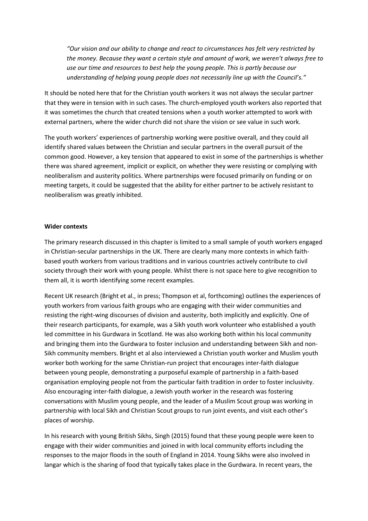*"Our vision and our ability to change and react to circumstances has felt very restricted by the money. Because they want a certain style and amount of work, we weren't always free to use our time and resources to best help the young people. This is partly because our understanding of helping young people does not necessarily line up with the Council's."*

It should be noted here that for the Christian youth workers it was not always the secular partner that they were in tension with in such cases. The church-employed youth workers also reported that it was sometimes the church that created tensions when a youth worker attempted to work with external partners, where the wider church did not share the vision or see value in such work.

The youth workers' experiences of partnership working were positive overall, and they could all identify shared values between the Christian and secular partners in the overall pursuit of the common good. However, a key tension that appeared to exist in some of the partnerships is whether there was shared agreement, implicit or explicit, on whether they were resisting or complying with neoliberalism and austerity politics. Where partnerships were focused primarily on funding or on meeting targets, it could be suggested that the ability for either partner to be actively resistant to neoliberalism was greatly inhibited.

#### **Wider contexts**

The primary research discussed in this chapter is limited to a small sample of youth workers engaged in Christian-secular partnerships in the UK. There are clearly many more contexts in which faithbased youth workers from various traditions and in various countries actively contribute to civil society through their work with young people. Whilst there is not space here to give recognition to them all, it is worth identifying some recent examples.

Recent UK research (Bright et al., in press; Thompson et al, forthcoming) outlines the experiences of youth workers from various faith groups who are engaging with their wider communities and resisting the right-wing discourses of division and austerity, both implicitly and explicitly. One of their research participants, for example, was a Sikh youth work volunteer who established a youth led committee in his Gurdwara in Scotland. He was also working both within his local community and bringing them into the Gurdwara to foster inclusion and understanding between Sikh and non-Sikh community members. Bright et al also interviewed a Christian youth worker and Muslim youth worker both working for the same Christian-run project that encourages inter-faith dialogue between young people, demonstrating a purposeful example of partnership in a faith-based organisation employing people not from the particular faith tradition in order to foster inclusivity. Also encouraging inter-faith dialogue, a Jewish youth worker in the research was fostering conversations with Muslim young people, and the leader of a Muslim Scout group was working in partnership with local Sikh and Christian Scout groups to run joint events, and visit each other's places of worship.

In his research with young British Sikhs, Singh (2015) found that these young people were keen to engage with their wider communities and joined in with local community efforts including the responses to the major floods in the south of England in 2014. Young Sikhs were also involved in langar which is the sharing of food that typically takes place in the Gurdwara. In recent years, the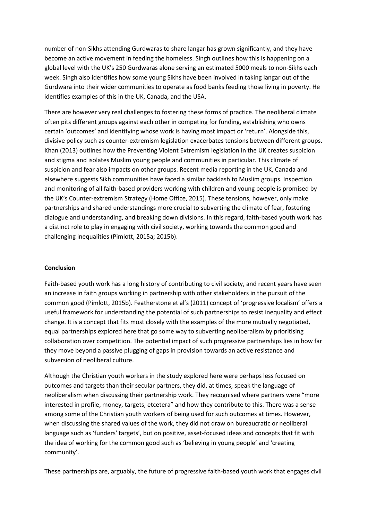number of non-Sikhs attending Gurdwaras to share langar has grown significantly, and they have become an active movement in feeding the homeless. Singh outlines how this is happening on a global level with the UK's 250 Gurdwaras alone serving an estimated 5000 meals to non-Sikhs each week. Singh also identifies how some young Sikhs have been involved in taking langar out of the Gurdwara into their wider communities to operate as food banks feeding those living in poverty. He identifies examples of this in the UK, Canada, and the USA.

There are however very real challenges to fostering these forms of practice. The neoliberal climate often pits different groups against each other in competing for funding, establishing who owns certain 'outcomes' and identifying whose work is having most impact or 'return'. Alongside this, divisive policy such as counter-extremism legislation exacerbates tensions between different groups. Khan (2013) outlines how the Preventing Violent Extremism legislation in the UK creates suspicion and stigma and isolates Muslim young people and communities in particular. This climate of suspicion and fear also impacts on other groups. Recent media reporting in the UK, Canada and elsewhere suggests Sikh communities have faced a similar backlash to Muslim groups. Inspection and monitoring of all faith-based providers working with children and young people is promised by the UK's Counter-extremism Strategy (Home Office, 2015). These tensions, however, only make partnerships and shared understandings more crucial to subverting the climate of fear, fostering dialogue and understanding, and breaking down divisions. In this regard, faith-based youth work has a distinct role to play in engaging with civil society, working towards the common good and challenging inequalities (Pimlott, 2015a; 2015b).

#### **Conclusion**

Faith-based youth work has a long history of contributing to civil society, and recent years have seen an increase in faith groups working in partnership with other stakeholders in the pursuit of the common good (Pimlott, 2015b). Featherstone et al's (2011) concept of 'progressive localism' offers a useful framework for understanding the potential of such partnerships to resist inequality and effect change. It is a concept that fits most closely with the examples of the more mutually negotiated, equal partnerships explored here that go some way to subverting neoliberalism by prioritising collaboration over competition. The potential impact of such progressive partnerships lies in how far they move beyond a passive plugging of gaps in provision towards an active resistance and subversion of neoliberal culture.

Although the Christian youth workers in the study explored here were perhaps less focused on outcomes and targets than their secular partners, they did, at times, speak the language of neoliberalism when discussing their partnership work. They recognised where partners were "more interested in profile, money, targets, etcetera" and how they contribute to this. There was a sense among some of the Christian youth workers of being used for such outcomes at times. However, when discussing the shared values of the work, they did not draw on bureaucratic or neoliberal language such as 'funders' targets', but on positive, asset-focused ideas and concepts that fit with the idea of working for the common good such as 'believing in young people' and 'creating community'.

These partnerships are, arguably, the future of progressive faith-based youth work that engages civil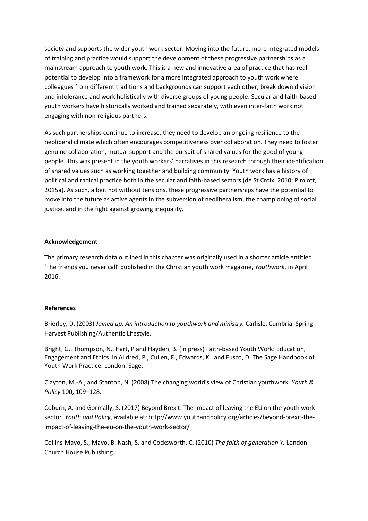society and supports the wider youth work sector. Moving into the future, more integrated models of training and practice would support the development of these progressive partnerships as a mainstream approach to youth work. This is a new and innovative area of practice that has real potential to develop into a framework for a more integrated approach to youth work where colleagues from different traditions and backgrounds can support each other, break down division and intolerance and work holistically with diverse groups of young people. Secular and faith-based youth workers have historically worked and trained separately, with even inter-faith work not engaging with non-religious partners.

As such partnerships continue to increase, they need to develop an ongoing resilience to the neoliberal climate which often encourages competitiveness over collaboration. They need to foster genuine collaboration, mutual support and the pursuit of shared values for the good of young people. This was present in the youth workers' narratives in this research through their identification of shared values such as working together and building community. Youth work has a history of political and radical practice both in the secular and faith-based sectors (de St Croix, 2010; Pimlott, 2015a). As such, albeit not without tensions, these progressive partnerships have the potential to move into the future as active agents in the subversion of neoliberalism, the championing of social justice, and in the fight against growing inequality.

#### **Acknowledgement**

The primary research data outlined in this chapter was originally used in a shorter article entitled 'The friends you never call' published in the Christian youth work magazine, *Youthwork,* in April 2016.

### **References**

Brierley, D. (2003) *Joined up: An introduction to youthwork and ministry.* Carlisle, Cumbria: Spring Harvest Publishing/Authentic Lifestyle.

Bright, G., Thompson, N., Hart, P and Hayden, B. (in press) Faith-based Youth Work: Education, Engagement and Ethics. in Alldred, P., Cullen, F., Edwards, K. and Fusco, D. The Sage Handbook of Youth Work Practice. London: Sage.

Clayton, M.-A., and Stanton, N. (2008) The changing world's view of Christian youthwork. *Youth & Policy* 100**,** 109–128.

Coburn, A. and Gormally, S. (2017) Beyond Brexit: The impact of leaving the EU on the youth work sector. *Youth and Policy*, available at: http://www.youthandpolicy.org/articles/beyond-brexit-theimpact-of-leaving-the-eu-on-the-youth-work-sector/

Collins-Mayo, S., Mayo, B. Nash, S. and Cocksworth, C. (2010) *The faith of generation Y.* London: Church House Publishing.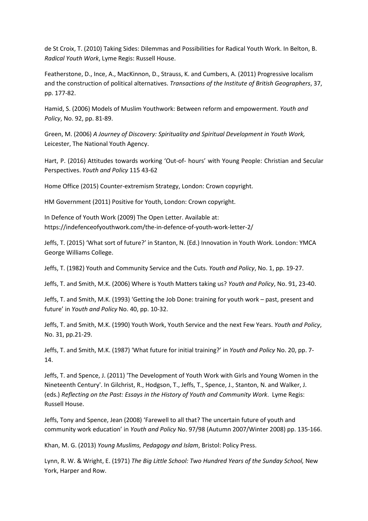de St Croix, T. (2010) Taking Sides: Dilemmas and Possibilities for Radical Youth Work. In Belton, B. *Radical Youth Work*, Lyme Regis: Russell House.

Featherstone, D., Ince, A., MacKinnon, D., Strauss, K. and Cumbers, A. (2011) Progressive localism and the construction of political alternatives. *Transactions of the Institute of British Geographers*, 37, pp. 177-82.

Hamid, S. (2006) Models of Muslim Youthwork: Between reform and empowerment. *Youth and Policy*, No. 92, pp. 81-89.

Green, M. (2006) *A Journey of Discovery: Spirituality and Spiritual Development in Youth Work,*  Leicester, The National Youth Agency.

Hart, P. (2016) Attitudes towards working 'Out-of- hours' with Young People: Christian and Secular Perspectives. *Youth and Policy* 115 43-62

Home Office (2015) Counter-extremism Strategy, London: Crown copyright.

HM Government (2011) Positive for Youth, London: Crown copyright.

In Defence of Youth Work (2009) The Open Letter. Available at: https://indefenceofyouthwork.com/the-in-defence-of-youth-work-letter-2/

Jeffs, T. (2015) 'What sort of future?' in Stanton, N. (Ed.) Innovation in Youth Work. London: YMCA George Williams College.

Jeffs, T. (1982) Youth and Community Service and the Cuts. *Youth and Policy*, No. 1, pp. 19-27.

Jeffs, T. and Smith, M.K. (2006) Where is Youth Matters taking us? *Youth and Policy*, No. 91, 23-40.

Jeffs, T. and Smith, M.K. (1993) 'Getting the Job Done: training for youth work – past, present and future' in *Youth and Policy* No. 40, pp. 10-32.

Jeffs, T. and Smith, M.K. (1990) Youth Work, Youth Service and the next Few Years. *Youth and Policy*, No. 31, pp.21-29.

Jeffs, T. and Smith, M.K. (1987) 'What future for initial training?' in *Youth and Policy* No. 20, pp. 7- 14.

Jeffs, T. and Spence, J. (2011) 'The Development of Youth Work with Girls and Young Women in the Nineteenth Century'. In Gilchrist, R., Hodgson, T., Jeffs, T., Spence, J., Stanton, N. and Walker, J. (eds.) *Reflecting on the Past: Essays in the History of Youth and Community Work*. Lyme Regis: Russell House.

Jeffs, Tony and Spence, Jean (2008) 'Farewell to all that? The uncertain future of youth and community work education' in *Youth and Policy* No. 97/98 (Autumn 2007/Winter 2008) pp. 135-166.

Khan, M. G. (2013) *Young Muslims, Pedagogy and Islam*, Bristol: Policy Press.

Lynn, R. W. & Wright, E. (1971) *The Big Little School: Two Hundred Years of the Sunday School,* New York, Harper and Row.